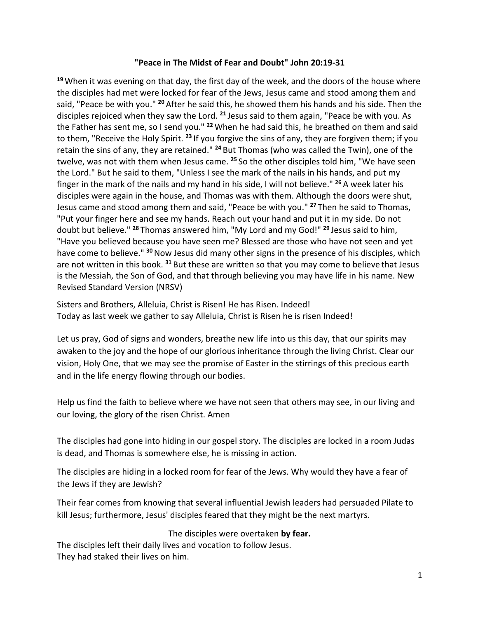### **"Peace in The Midst of Fear and Doubt" John 20:19-31**

**<sup>19</sup>** When it was evening on that day, the first day of the week, and the doors of the house where the disciples had met were locked for fear of the Jews, Jesus came and stood among them and said, "Peace be with you." **<sup>20</sup>** After he said this, he showed them his hands and his side. Then the disciples rejoiced when they saw the Lord. **<sup>21</sup>** Jesus said to them again, "Peace be with you. As the Father has sent me, so I send you." **<sup>22</sup>** When he had said this, he breathed on them and said to them, "Receive the Holy Spirit. **<sup>23</sup>** If you forgive the sins of any, they are forgiven them; if you retain the sins of any, they are retained." **<sup>24</sup>** But Thomas (who was called the Twin), one of the twelve, was not with them when Jesus came. **<sup>25</sup>** So the other disciples told him, "We have seen the Lord." But he said to them, "Unless I see the mark of the nails in his hands, and put my finger in the mark of the nails and my hand in his side, I will not believe." **<sup>26</sup>** A week later his disciples were again in the house, and Thomas was with them. Although the doors were shut, Jesus came and stood among them and said, "Peace be with you." **<sup>27</sup>** Then he said to Thomas, "Put your finger here and see my hands. Reach out your hand and put it in my side. Do not doubt but believe." **<sup>28</sup>** Thomas answered him, "My Lord and my God!" **<sup>29</sup>** Jesus said to him, "Have you believed because you have seen me? Blessed are those who have not seen and yet have come to believe." **<sup>30</sup>**Now Jesus did many other signs in the presence of his disciples, which are not written in this book. **<sup>31</sup>** But these are written so that you may come to believe that Jesus is the Messiah, the Son of God, and that through believing you may have life in his name. New Revised Standard Version (NRSV)

Sisters and Brothers, Alleluia, Christ is Risen! He has Risen. Indeed! Today as last week we gather to say Alleluia, Christ is Risen he is risen Indeed!

Let us pray, God of signs and wonders, breathe new life into us this day, that our spirits may awaken to the joy and the hope of our glorious inheritance through the living Christ. Clear our vision, Holy One, that we may see the promise of Easter in the stirrings of this precious earth and in the life energy flowing through our bodies.

Help us find the faith to believe where we have not seen that others may see, in our living and our loving, the glory of the risen Christ. Amen

The disciples had gone into hiding in our gospel story. The disciples are locked in a room Judas is dead, and Thomas is somewhere else, he is missing in action.

The disciples are hiding in a locked room for fear of the Jews. Why would they have a fear of the Jews if they are Jewish?

Their fear comes from knowing that several influential Jewish leaders had persuaded Pilate to kill Jesus; furthermore, Jesus' disciples feared that they might be the next martyrs.

# The disciples were overtaken **by fear.**

The disciples left their daily lives and vocation to follow Jesus. They had staked their lives on him.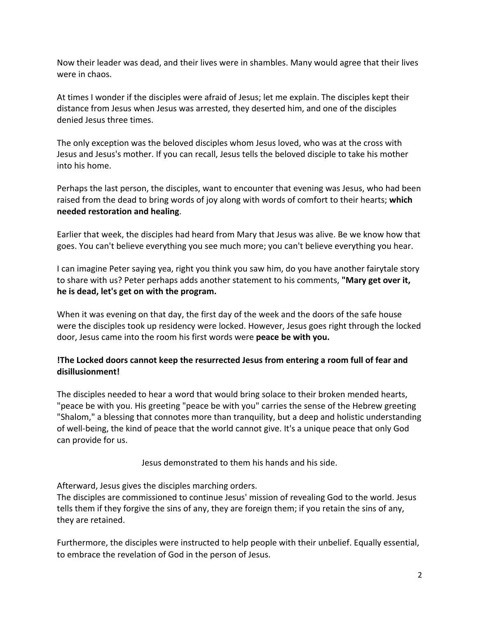Now their leader was dead, and their lives were in shambles. Many would agree that their lives were in chaos.

At times I wonder if the disciples were afraid of Jesus; let me explain. The disciples kept their distance from Jesus when Jesus was arrested, they deserted him, and one of the disciples denied Jesus three times.

The only exception was the beloved disciples whom Jesus loved, who was at the cross with Jesus and Jesus's mother. If you can recall, Jesus tells the beloved disciple to take his mother into his home.

Perhaps the last person, the disciples, want to encounter that evening was Jesus, who had been raised from the dead to bring words of joy along with words of comfort to their hearts; **which needed restoration and healing**.

Earlier that week, the disciples had heard from Mary that Jesus was alive. Be we know how that goes. You can't believe everything you see much more; you can't believe everything you hear.

I can imagine Peter saying yea, right you think you saw him, do you have another fairytale story to share with us? Peter perhaps adds another statement to his comments, **"Mary get over it, he is dead, let's get on with the program.** 

When it was evening on that day, the first day of the week and the doors of the safe house were the disciples took up residency were locked. However, Jesus goes right through the locked door, Jesus came into the room his first words were **peace be with you.** 

# **!The Locked doors cannot keep the resurrected Jesus from entering a room full of fear and disillusionment!**

The disciples needed to hear a word that would bring solace to their broken mended hearts, "peace be with you. His greeting "peace be with you" carries the sense of the Hebrew greeting "Shalom," a blessing that connotes more than tranquility, but a deep and holistic understanding of well-being, the kind of peace that the world cannot give. It's a unique peace that only God can provide for us.

Jesus demonstrated to them his hands and his side.

Afterward, Jesus gives the disciples marching orders.

The disciples are commissioned to continue Jesus' mission of revealing God to the world. Jesus tells them if they forgive the sins of any, they are foreign them; if you retain the sins of any, they are retained.

Furthermore, the disciples were instructed to help people with their unbelief. Equally essential, to embrace the revelation of God in the person of Jesus.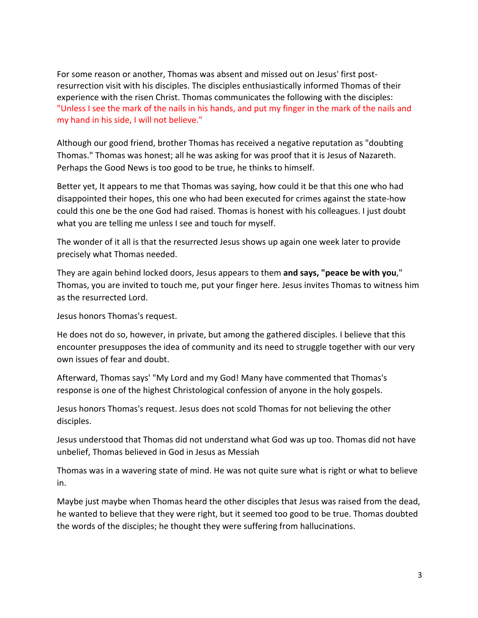For some reason or another, Thomas was absent and missed out on Jesus' first postresurrection visit with his disciples. The disciples enthusiastically informed Thomas of their experience with the risen Christ. Thomas communicates the following with the disciples: "Unless I see the mark of the nails in his hands, and put my finger in the mark of the nails and my hand in his side, I will not believe."

Although our good friend, brother Thomas has received a negative reputation as "doubting Thomas." Thomas was honest; all he was asking for was proof that it is Jesus of Nazareth. Perhaps the Good News is too good to be true, he thinks to himself.

Better yet, It appears to me that Thomas was saying, how could it be that this one who had disappointed their hopes, this one who had been executed for crimes against the state-how could this one be the one God had raised. Thomas is honest with his colleagues. I just doubt what you are telling me unless I see and touch for myself.

The wonder of it all is that the resurrected Jesus shows up again one week later to provide precisely what Thomas needed.

They are again behind locked doors, Jesus appears to them **and says, "peace be with you**," Thomas, you are invited to touch me, put your finger here. Jesus invites Thomas to witness him as the resurrected Lord.

Jesus honors Thomas's request.

He does not do so, however, in private, but among the gathered disciples. I believe that this encounter presupposes the idea of community and its need to struggle together with our very own issues of fear and doubt.

Afterward, Thomas says' "My Lord and my God! Many have commented that Thomas's response is one of the highest Christological confession of anyone in the holy gospels.

Jesus honors Thomas's request. Jesus does not scold Thomas for not believing the other disciples.

Jesus understood that Thomas did not understand what God was up too. Thomas did not have unbelief, Thomas believed in God in Jesus as Messiah

Thomas was in a wavering state of mind. He was not quite sure what is right or what to believe in.

Maybe just maybe when Thomas heard the other disciples that Jesus was raised from the dead, he wanted to believe that they were right, but it seemed too good to be true. Thomas doubted the words of the disciples; he thought they were suffering from hallucinations.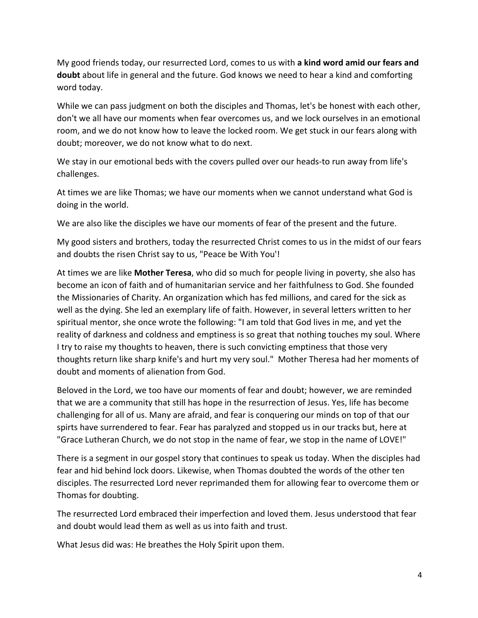My good friends today, our resurrected Lord, comes to us with **a kind word amid our fears and doubt** about life in general and the future. God knows we need to hear a kind and comforting word today.

While we can pass judgment on both the disciples and Thomas, let's be honest with each other, don't we all have our moments when fear overcomes us, and we lock ourselves in an emotional room, and we do not know how to leave the locked room. We get stuck in our fears along with doubt; moreover, we do not know what to do next.

We stay in our emotional beds with the covers pulled over our heads-to run away from life's challenges.

At times we are like Thomas; we have our moments when we cannot understand what God is doing in the world.

We are also like the disciples we have our moments of fear of the present and the future.

My good sisters and brothers, today the resurrected Christ comes to us in the midst of our fears and doubts the risen Christ say to us, "Peace be With You'!

At times we are like **Mother Teresa**, who did so much for people living in poverty, she also has become an icon of faith and of humanitarian service and her faithfulness to God. She founded the Missionaries of Charity. An organization which has fed millions, and cared for the sick as well as the dying. She led an exemplary life of faith. However, in several letters written to her spiritual mentor, she once wrote the following: "I am told that God lives in me, and yet the reality of darkness and coldness and emptiness is so great that nothing touches my soul. Where I try to raise my thoughts to heaven, there is such convicting emptiness that those very thoughts return like sharp knife's and hurt my very soul." Mother Theresa had her moments of doubt and moments of alienation from God.

Beloved in the Lord, we too have our moments of fear and doubt; however, we are reminded that we are a community that still has hope in the resurrection of Jesus. Yes, life has become challenging for all of us. Many are afraid, and fear is conquering our minds on top of that our spirts have surrendered to fear. Fear has paralyzed and stopped us in our tracks but, here at "Grace Lutheran Church, we do not stop in the name of fear, we stop in the name of LOVE!"

There is a segment in our gospel story that continues to speak us today. When the disciples had fear and hid behind lock doors. Likewise, when Thomas doubted the words of the other ten disciples. The resurrected Lord never reprimanded them for allowing fear to overcome them or Thomas for doubting.

The resurrected Lord embraced their imperfection and loved them. Jesus understood that fear and doubt would lead them as well as us into faith and trust.

What Jesus did was: He breathes the Holy Spirit upon them.